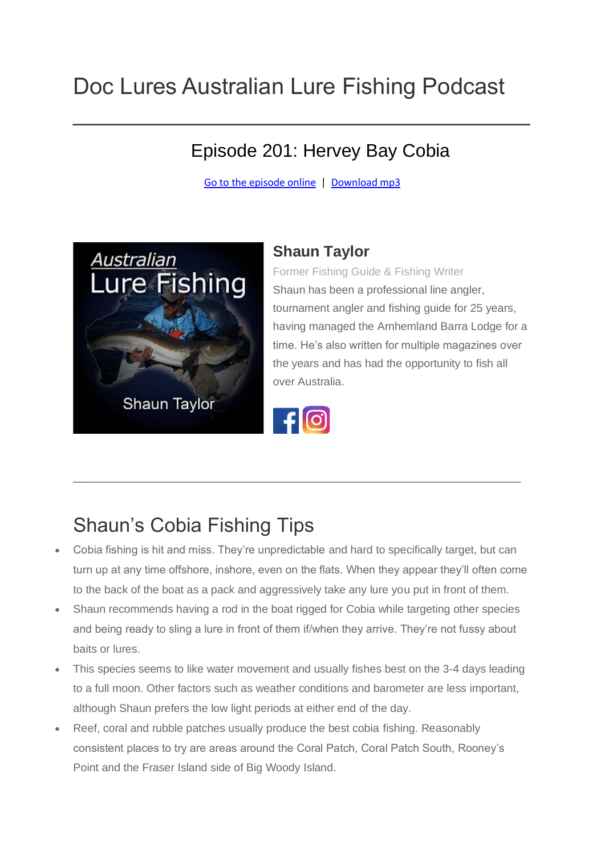## Doc Lures Australian Lure Fishing Podcast

#### Episode 201: Hervey Bay Cobia

[Go to the episode online](https://doclures.com/hervey-bay-cobia-shaun-taylor/) | [Download mp3](http://traffic.libsyn.com/doclures/hervey-bay-cobia-shaun-taylor.mp3)

 $\mathcal{L}_\text{max}$  and  $\mathcal{L}_\text{max}$  and  $\mathcal{L}_\text{max}$  are the set of  $\mathcal{L}_\text{max}$  and  $\mathcal{L}_\text{max}$ 



#### **Shaun Taylor**

Former Fishing Guide & Fishing Writer Shaun has been a professional line angler, tournament angler and fishing guide for 25 years, having managed the Arnhemland Barra Lodge for a time. He's also written for multiple magazines over the years and has had the opportunity to fish all over Australia.



\_\_\_\_\_\_\_\_\_\_\_\_\_\_\_\_\_\_\_\_\_\_\_\_\_\_\_\_\_\_\_\_\_\_\_\_\_\_\_\_\_\_\_\_\_\_\_\_\_\_\_\_\_\_\_\_\_\_\_\_\_

### Shaun's Cobia Fishing Tips

- Cobia fishing is hit and miss. They're unpredictable and hard to specifically target, but can turn up at any time offshore, inshore, even on the flats. When they appear they'll often come to the back of the boat as a pack and aggressively take any lure you put in front of them.
- Shaun recommends having a rod in the boat rigged for Cobia while targeting other species and being ready to sling a lure in front of them if/when they arrive. They're not fussy about baits or lures.
- This species seems to like water movement and usually fishes best on the 3-4 days leading to a full moon. Other factors such as weather conditions and barometer are less important, although Shaun prefers the low light periods at either end of the day.
- Reef, coral and rubble patches usually produce the best cobia fishing. Reasonably consistent places to try are areas around the Coral Patch, Coral Patch South, Rooney's Point and the Fraser Island side of Big Woody Island.